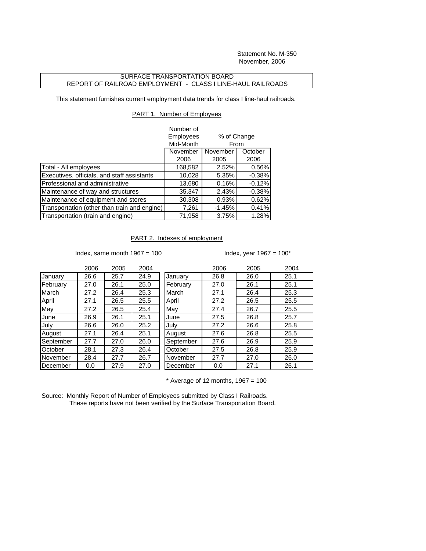Statement No. M-350 November, 2006

## SURFACE TRANSPORTATION BOARD REPORT OF RAILROAD EMPLOYMENT - CLASS I LINE-HAUL RAILROADS

This statement furnishes current employment data trends for class I line-haul railroads.

## PART 1. Number of Employees

|                                              | Number of<br>Employees<br>Mid-Month | % of Change<br>From |                 |  |
|----------------------------------------------|-------------------------------------|---------------------|-----------------|--|
|                                              | November<br>2006                    | November<br>2005    | October<br>2006 |  |
| Total - All employees                        | 168,582                             | 2.52%               | 0.56%           |  |
| Executives, officials, and staff assistants  | 10,028                              | 5.35%               | $-0.38%$        |  |
| Professional and administrative              | 13,680                              | 0.16%               | $-0.12%$        |  |
| Maintenance of way and structures            | 35,347                              | 2.43%               | $-0.38%$        |  |
| Maintenance of equipment and stores          | 30,308                              | 0.93%               | 0.62%           |  |
| Transportation (other than train and engine) | 7,261                               | $-1.45%$            | 0.41%           |  |
| Transportation (train and engine)            | 71,958                              | 3.75%               | 1.28%           |  |

## PART 2. Indexes of employment

Index, same month  $1967 = 100$  Index, year  $1967 = 100^*$ 

|           | 2006 | 2005 | 2004 |           | 2006 | 2005 | 2004 |
|-----------|------|------|------|-----------|------|------|------|
| January   | 26.6 | 25.7 | 24.9 | January   | 26.8 | 26.0 | 25.1 |
| February  | 27.0 | 26.1 | 25.0 | February  | 27.0 | 26.1 | 25.1 |
| March     | 27.2 | 26.4 | 25.3 | March     | 27.1 | 26.4 | 25.3 |
| April     | 27.1 | 26.5 | 25.5 | April     | 27.2 | 26.5 | 25.5 |
| May       | 27.2 | 26.5 | 25.4 | May       | 27.4 | 26.7 | 25.5 |
| June      | 26.9 | 26.1 | 25.1 | June      | 27.5 | 26.8 | 25.7 |
| July      | 26.6 | 26.0 | 25.2 | July      | 27.2 | 26.6 | 25.8 |
| August    | 27.1 | 26.4 | 25.1 | August    | 27.6 | 26.8 | 25.5 |
| September | 27.7 | 27.0 | 26.0 | September | 27.6 | 26.9 | 25.9 |
| October   | 28.1 | 27.3 | 26.4 | October   | 27.5 | 26.8 | 25.9 |
| November  | 28.4 | 27.7 | 26.7 | November  | 27.7 | 27.0 | 26.0 |
| December  | 0.0  | 27.9 | 27.0 | December  | 0.0  | 27.1 | 26.1 |
|           |      |      |      |           |      |      |      |

 $*$  Average of 12 months, 1967 = 100

Source: Monthly Report of Number of Employees submitted by Class I Railroads. These reports have not been verified by the Surface Transportation Board.